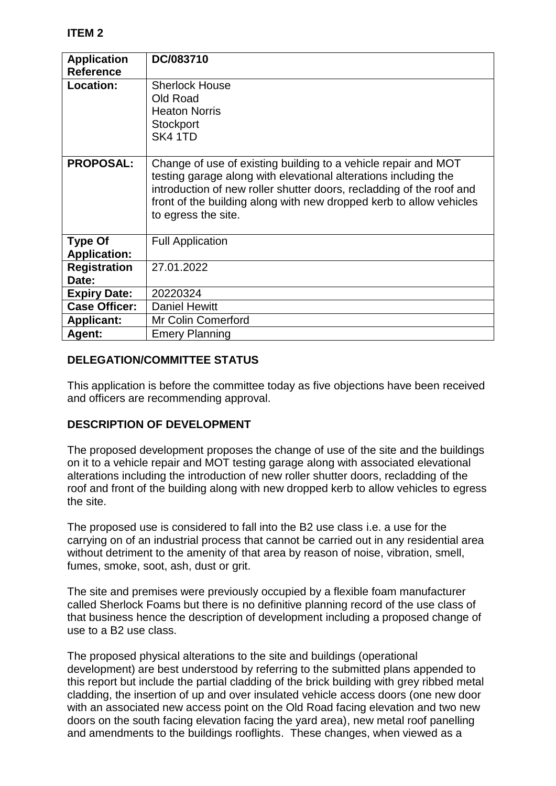| <b>Application</b><br><b>Reference</b> | DC/083710                                                                                                                                                                                                                                                                                               |
|----------------------------------------|---------------------------------------------------------------------------------------------------------------------------------------------------------------------------------------------------------------------------------------------------------------------------------------------------------|
| Location:                              | <b>Sherlock House</b><br>Old Road<br><b>Heaton Norris</b><br>Stockport<br>SK4 1TD                                                                                                                                                                                                                       |
| <b>PROPOSAL:</b>                       | Change of use of existing building to a vehicle repair and MOT<br>testing garage along with elevational alterations including the<br>introduction of new roller shutter doors, recladding of the roof and<br>front of the building along with new dropped kerb to allow vehicles<br>to egress the site. |
| <b>Type Of</b><br><b>Application:</b>  | <b>Full Application</b>                                                                                                                                                                                                                                                                                 |
| <b>Registration</b><br>Date:           | 27.01.2022                                                                                                                                                                                                                                                                                              |
| <b>Expiry Date:</b>                    | 20220324                                                                                                                                                                                                                                                                                                |
| <b>Case Officer:</b>                   | <b>Daniel Hewitt</b>                                                                                                                                                                                                                                                                                    |
| <b>Applicant:</b>                      | Mr Colin Comerford                                                                                                                                                                                                                                                                                      |
| Agent:                                 | <b>Emery Planning</b>                                                                                                                                                                                                                                                                                   |

## **DELEGATION/COMMITTEE STATUS**

This application is before the committee today as five objections have been received and officers are recommending approval.

### **DESCRIPTION OF DEVELOPMENT**

The proposed development proposes the change of use of the site and the buildings on it to a vehicle repair and MOT testing garage along with associated elevational alterations including the introduction of new roller shutter doors, recladding of the roof and front of the building along with new dropped kerb to allow vehicles to egress the site.

The proposed use is considered to fall into the B2 use class i.e. a use for the carrying on of an industrial process that cannot be carried out in any residential area without detriment to the amenity of that area by reason of noise, vibration, smell, fumes, smoke, soot, ash, dust or grit.

The site and premises were previously occupied by a flexible foam manufacturer called Sherlock Foams but there is no definitive planning record of the use class of that business hence the description of development including a proposed change of use to a B2 use class.

The proposed physical alterations to the site and buildings (operational development) are best understood by referring to the submitted plans appended to this report but include the partial cladding of the brick building with grey ribbed metal cladding, the insertion of up and over insulated vehicle access doors (one new door with an associated new access point on the Old Road facing elevation and two new doors on the south facing elevation facing the yard area), new metal roof panelling and amendments to the buildings rooflights. These changes, when viewed as a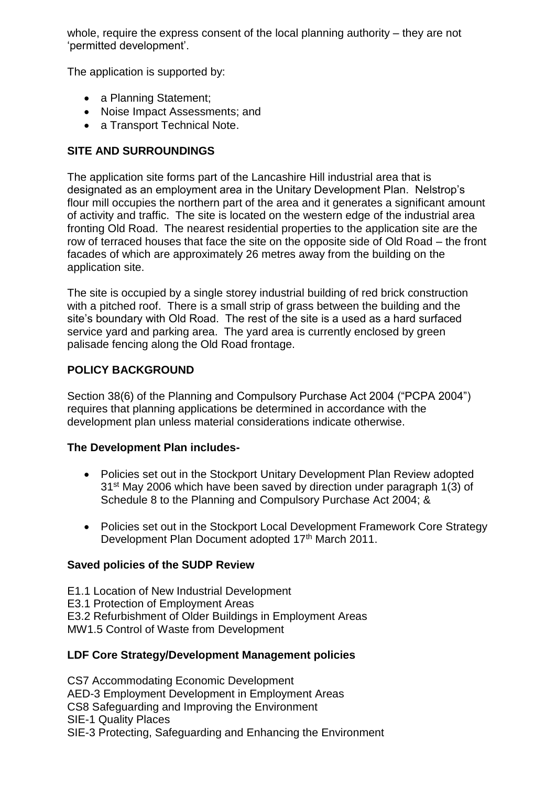whole, require the express consent of the local planning authority – they are not 'permitted development'.

The application is supported by:

- a Planning Statement;
- Noise Impact Assessments: and
- a Transport Technical Note.

# **SITE AND SURROUNDINGS**

The application site forms part of the Lancashire Hill industrial area that is designated as an employment area in the Unitary Development Plan. Nelstrop's flour mill occupies the northern part of the area and it generates a significant amount of activity and traffic. The site is located on the western edge of the industrial area fronting Old Road. The nearest residential properties to the application site are the row of terraced houses that face the site on the opposite side of Old Road – the front facades of which are approximately 26 metres away from the building on the application site.

The site is occupied by a single storey industrial building of red brick construction with a pitched roof. There is a small strip of grass between the building and the site's boundary with Old Road. The rest of the site is a used as a hard surfaced service yard and parking area. The yard area is currently enclosed by green palisade fencing along the Old Road frontage.

# **POLICY BACKGROUND**

Section 38(6) of the Planning and Compulsory Purchase Act 2004 ("PCPA 2004") requires that planning applications be determined in accordance with the development plan unless material considerations indicate otherwise.

## **The Development Plan includes-**

- Policies set out in the Stockport Unitary Development Plan Review adopted 31st May 2006 which have been saved by direction under paragraph 1(3) of Schedule 8 to the Planning and Compulsory Purchase Act 2004; &
- Policies set out in the Stockport Local Development Framework Core Strategy Development Plan Document adopted 17th March 2011.

## **Saved policies of the SUDP Review**

E1.1 Location of New Industrial Development

E3.1 Protection of Employment Areas

E3.2 Refurbishment of Older Buildings in Employment Areas

MW1.5 Control of Waste from Development

## **LDF Core Strategy/Development Management policies**

CS7 Accommodating Economic Development AED-3 Employment Development in Employment Areas CS8 Safeguarding and Improving the Environment SIE-1 Quality Places SIE-3 Protecting, Safeguarding and Enhancing the Environment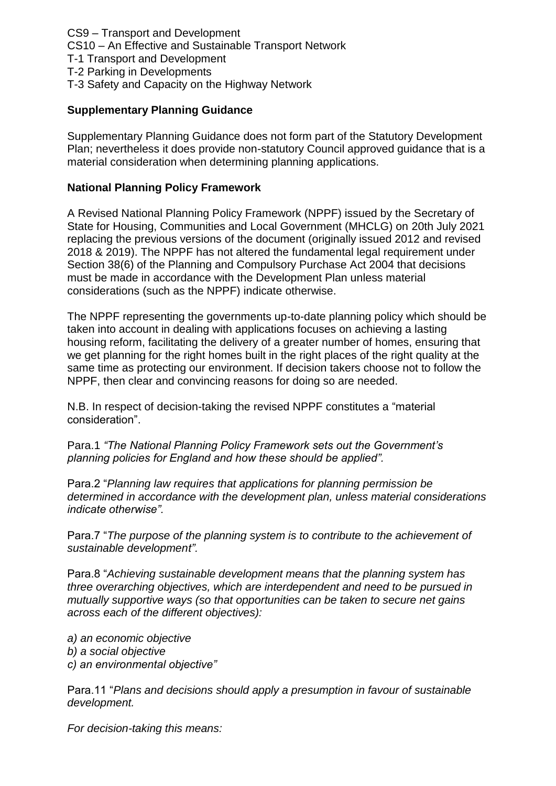CS9 – Transport and Development CS10 – An Effective and Sustainable Transport Network

T-1 Transport and Development

T-2 Parking in Developments

T-3 Safety and Capacity on the Highway Network

### **Supplementary Planning Guidance**

Supplementary Planning Guidance does not form part of the Statutory Development Plan; nevertheless it does provide non-statutory Council approved guidance that is a material consideration when determining planning applications.

#### **National Planning Policy Framework**

A Revised National Planning Policy Framework (NPPF) issued by the Secretary of State for Housing, Communities and Local Government (MHCLG) on 20th July 2021 replacing the previous versions of the document (originally issued 2012 and revised 2018 & 2019). The NPPF has not altered the fundamental legal requirement under Section 38(6) of the Planning and Compulsory Purchase Act 2004 that decisions must be made in accordance with the Development Plan unless material considerations (such as the NPPF) indicate otherwise.

The NPPF representing the governments up-to-date planning policy which should be taken into account in dealing with applications focuses on achieving a lasting housing reform, facilitating the delivery of a greater number of homes, ensuring that we get planning for the right homes built in the right places of the right quality at the same time as protecting our environment. If decision takers choose not to follow the NPPF, then clear and convincing reasons for doing so are needed.

N.B. In respect of decision-taking the revised NPPF constitutes a "material consideration".

Para.1 *"The National Planning Policy Framework sets out the Government's planning policies for England and how these should be applied".*

Para.2 "*Planning law requires that applications for planning permission be determined in accordance with the development plan, unless material considerations indicate otherwise".*

Para.7 "*The purpose of the planning system is to contribute to the achievement of sustainable development".*

Para.8 "*Achieving sustainable development means that the planning system has three overarching objectives, which are interdependent and need to be pursued in mutually supportive ways (so that opportunities can be taken to secure net gains across each of the different objectives):*

*a) an economic objective b) a social objective c) an environmental objective"*

Para.11 "*Plans and decisions should apply a presumption in favour of sustainable development.*

*For decision-taking this means:*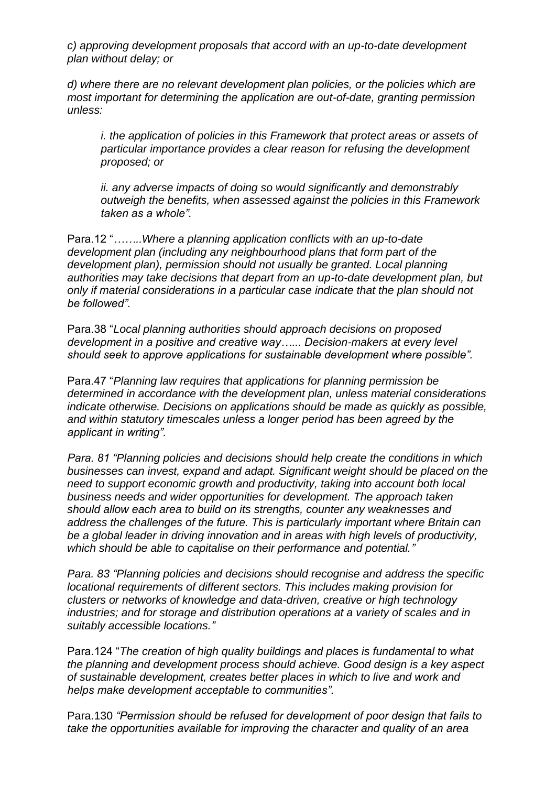*c) approving development proposals that accord with an up-to-date development plan without delay; or*

*d) where there are no relevant development plan policies, or the policies which are most important for determining the application are out-of-date, granting permission unless:*

*i. the application of policies in this Framework that protect areas or assets of particular importance provides a clear reason for refusing the development proposed; or*

*ii. any adverse impacts of doing so would significantly and demonstrably outweigh the benefits, when assessed against the policies in this Framework taken as a whole".*

Para.12 "*……..Where a planning application conflicts with an up-to-date development plan (including any neighbourhood plans that form part of the development plan), permission should not usually be granted. Local planning authorities may take decisions that depart from an up-to-date development plan, but only if material considerations in a particular case indicate that the plan should not be followed".*

Para.38 "*Local planning authorities should approach decisions on proposed development in a positive and creative way…... Decision-makers at every level should seek to approve applications for sustainable development where possible".*

Para.47 "*Planning law requires that applications for planning permission be determined in accordance with the development plan, unless material considerations indicate otherwise. Decisions on applications should be made as quickly as possible, and within statutory timescales unless a longer period has been agreed by the applicant in writing".*

*Para. 81 "Planning policies and decisions should help create the conditions in which businesses can invest, expand and adapt. Significant weight should be placed on the need to support economic growth and productivity, taking into account both local business needs and wider opportunities for development. The approach taken should allow each area to build on its strengths, counter any weaknesses and address the challenges of the future. This is particularly important where Britain can be a global leader in driving innovation and in areas with high levels of productivity, which should be able to capitalise on their performance and potential."*

*Para. 83 "Planning policies and decisions should recognise and address the specific locational requirements of different sectors. This includes making provision for clusters or networks of knowledge and data-driven, creative or high technology industries; and for storage and distribution operations at a variety of scales and in suitably accessible locations."*

Para.124 "*The creation of high quality buildings and places is fundamental to what the planning and development process should achieve. Good design is a key aspect of sustainable development, creates better places in which to live and work and helps make development acceptable to communities".*

Para.130 *"Permission should be refused for development of poor design that fails to take the opportunities available for improving the character and quality of an area*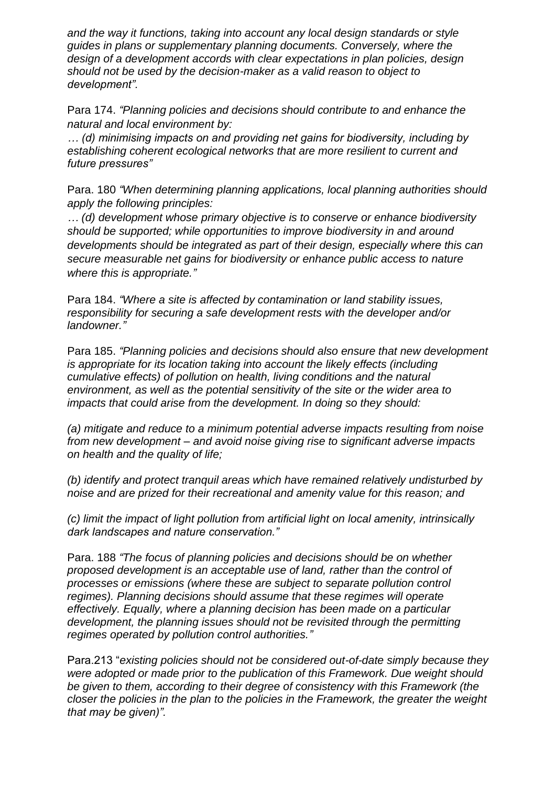*and the way it functions, taking into account any local design standards or style guides in plans or supplementary planning documents. Conversely, where the design of a development accords with clear expectations in plan policies, design should not be used by the decision-maker as a valid reason to object to development".*

Para 174. *"Planning policies and decisions should contribute to and enhance the natural and local environment by:*

*… (d) minimising impacts on and providing net gains for biodiversity, including by establishing coherent ecological networks that are more resilient to current and future pressures"*

Para. 180 *"When determining planning applications, local planning authorities should apply the following principles:*

*… (d) development whose primary objective is to conserve or enhance biodiversity should be supported; while opportunities to improve biodiversity in and around developments should be integrated as part of their design, especially where this can secure measurable net gains for biodiversity or enhance public access to nature where this is appropriate."*

Para 184. *"Where a site is affected by contamination or land stability issues, responsibility for securing a safe development rests with the developer and/or landowner."*

Para 185. *"Planning policies and decisions should also ensure that new development is appropriate for its location taking into account the likely effects (including cumulative effects) of pollution on health, living conditions and the natural environment, as well as the potential sensitivity of the site or the wider area to impacts that could arise from the development. In doing so they should:*

*(a) mitigate and reduce to a minimum potential adverse impacts resulting from noise from new development – and avoid noise giving rise to significant adverse impacts on health and the quality of life;*

*(b) identify and protect tranquil areas which have remained relatively undisturbed by noise and are prized for their recreational and amenity value for this reason; and*

*(c) limit the impact of light pollution from artificial light on local amenity, intrinsically dark landscapes and nature conservation."*

Para. 188 *"The focus of planning policies and decisions should be on whether proposed development is an acceptable use of land, rather than the control of processes or emissions (where these are subject to separate pollution control regimes). Planning decisions should assume that these regimes will operate effectively. Equally, where a planning decision has been made on a particular development, the planning issues should not be revisited through the permitting regimes operated by pollution control authorities."*

Para.213 "*existing policies should not be considered out-of-date simply because they were adopted or made prior to the publication of this Framework. Due weight should be given to them, according to their degree of consistency with this Framework (the closer the policies in the plan to the policies in the Framework, the greater the weight that may be given)".*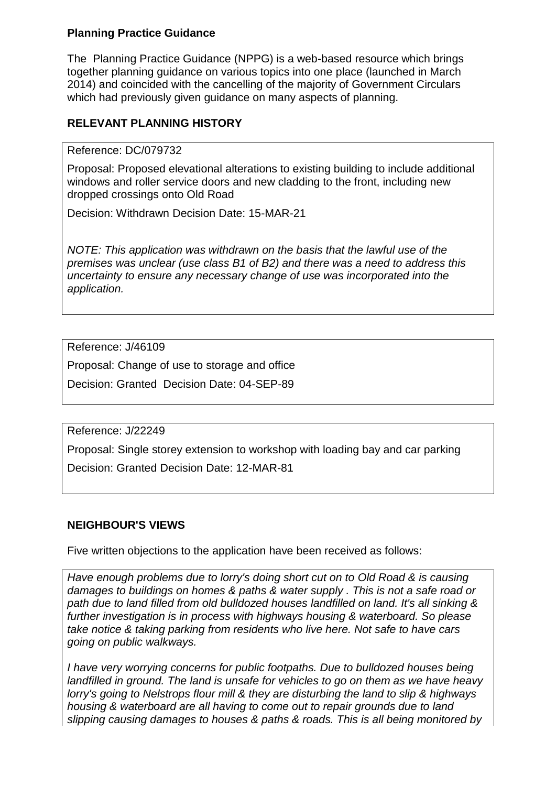### **Planning Practice Guidance**

The Planning Practice Guidance (NPPG) is a web-based resource which brings together planning guidance on various topics into one place (launched in March 2014) and coincided with the cancelling of the majority of Government Circulars which had previously given guidance on many aspects of planning.

## **RELEVANT PLANNING HISTORY**

#### Reference: DC/079732

Proposal: Proposed elevational alterations to existing building to include additional windows and roller service doors and new cladding to the front, including new dropped crossings onto Old Road

Decision: Withdrawn Decision Date: 15-MAR-21

*NOTE: This application was withdrawn on the basis that the lawful use of the premises was unclear (use class B1 of B2) and there was a need to address this uncertainty to ensure any necessary change of use was incorporated into the application.*

Reference: J/46109

Proposal: Change of use to storage and office

Decision: Granted Decision Date: 04-SEP-89

Reference: J/22249

Proposal: Single storey extension to workshop with loading bay and car parking Decision: Granted Decision Date: 12-MAR-81

## **NEIGHBOUR'S VIEWS**

Five written objections to the application have been received as follows:

*Have enough problems due to lorry's doing short cut on to Old Road & is causing damages to buildings on homes & paths & water supply . This is not a safe road or path due to land filled from old bulldozed houses landfilled on land. It's all sinking & further investigation is in process with highways housing & waterboard. So please take notice & taking parking from residents who live here. Not safe to have cars going on public walkways.*

*I have very worrying concerns for public footpaths. Due to bulldozed houses being landfilled in ground. The land is unsafe for vehicles to go on them as we have heavy lorry's going to Nelstrops flour mill & they are disturbing the land to slip & highways housing & waterboard are all having to come out to repair grounds due to land slipping causing damages to houses & paths & roads. This is all being monitored by*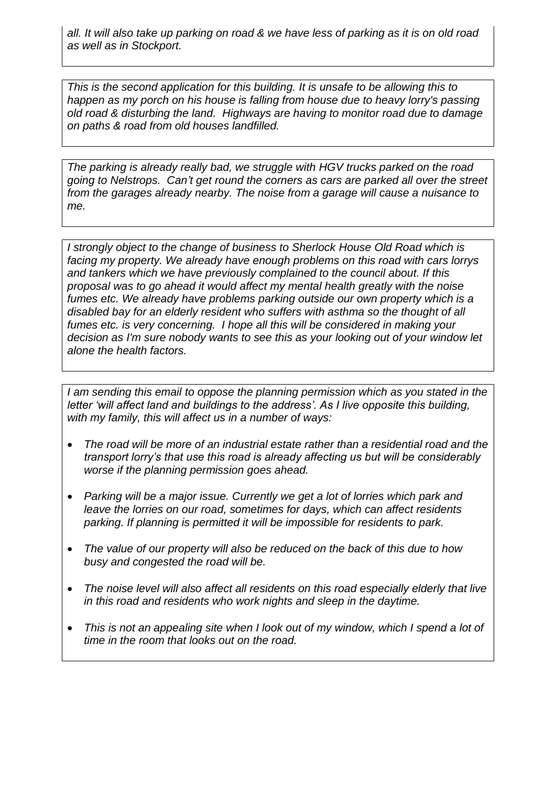*all. It will also take up parking on road & we have less of parking as it is on old road as well as in Stockport.*

*This is the second application for this building. It is unsafe to be allowing this to happen as my porch on his house is falling from house due to heavy lorry's passing old road & disturbing the land. Highways are having to monitor road due to damage on paths & road from old houses landfilled.*

*The parking is already really bad, we struggle with HGV trucks parked on the road going to Nelstrops. Can't get round the corners as cars are parked all over the street from the garages already nearby. The noise from a garage will cause a nuisance to me.*

*I strongly object to the change of business to Sherlock House Old Road which is facing my property. We already have enough problems on this road with cars lorrys and tankers which we have previously complained to the council about. If this proposal was to go ahead it would affect my mental health greatly with the noise fumes etc. We already have problems parking outside our own property which is a disabled bay for an elderly resident who suffers with asthma so the thought of all fumes etc. is very concerning. I hope all this will be considered in making your decision as I'm sure nobody wants to see this as your looking out of your window let alone the health factors.* 

*I am sending this email to oppose the planning permission which as you stated in the letter 'will affect land and buildings to the address'. As I live opposite this building, with my family, this will affect us in a number of ways:*

- *The road will be more of an industrial estate rather than a residential road and the transport lorry's that use this road is already affecting us but will be considerably worse if the planning permission goes ahead.*
- *Parking will be a major issue. Currently we get a lot of lorries which park and leave the lorries on our road, sometimes for days, which can affect residents parking. If planning is permitted it will be impossible for residents to park.*
- *The value of our property will also be reduced on the back of this due to how busy and congested the road will be.*
- *The noise level will also affect all residents on this road especially elderly that live in this road and residents who work nights and sleep in the daytime.*
- This is not an appealing site when I look out of my window, which I spend a lot of *time in the room that looks out on the road.*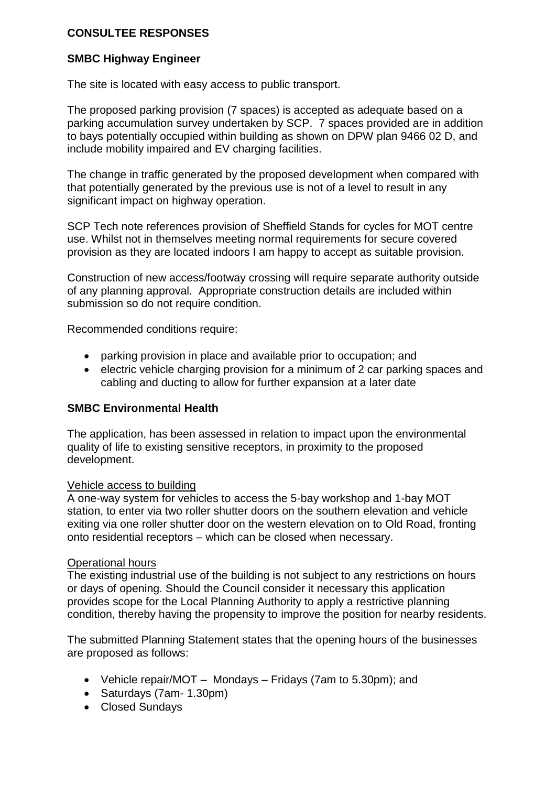### **CONSULTEE RESPONSES**

### **SMBC Highway Engineer**

The site is located with easy access to public transport.

The proposed parking provision (7 spaces) is accepted as adequate based on a parking accumulation survey undertaken by SCP. 7 spaces provided are in addition to bays potentially occupied within building as shown on DPW plan 9466 02 D, and include mobility impaired and EV charging facilities.

The change in traffic generated by the proposed development when compared with that potentially generated by the previous use is not of a level to result in any significant impact on highway operation.

SCP Tech note references provision of Sheffield Stands for cycles for MOT centre use. Whilst not in themselves meeting normal requirements for secure covered provision as they are located indoors I am happy to accept as suitable provision.

Construction of new access/footway crossing will require separate authority outside of any planning approval. Appropriate construction details are included within submission so do not require condition.

Recommended conditions require:

- parking provision in place and available prior to occupation; and
- e electric vehicle charging provision for a minimum of 2 car parking spaces and cabling and ducting to allow for further expansion at a later date

#### **SMBC Environmental Health**

The application, has been assessed in relation to impact upon the environmental quality of life to existing sensitive receptors, in proximity to the proposed development.

#### Vehicle access to building

A one-way system for vehicles to access the 5-bay workshop and 1-bay MOT station, to enter via two roller shutter doors on the southern elevation and vehicle exiting via one roller shutter door on the western elevation on to Old Road, fronting onto residential receptors – which can be closed when necessary.

#### Operational hours

The existing industrial use of the building is not subject to any restrictions on hours or days of opening. Should the Council consider it necessary this application provides scope for the Local Planning Authority to apply a restrictive planning condition, thereby having the propensity to improve the position for nearby residents.

The submitted Planning Statement states that the opening hours of the businesses are proposed as follows:

- Vehicle repair/MOT Mondays Fridays (7am to 5.30pm); and
- Saturdays (7am- 1.30pm)
- Closed Sundays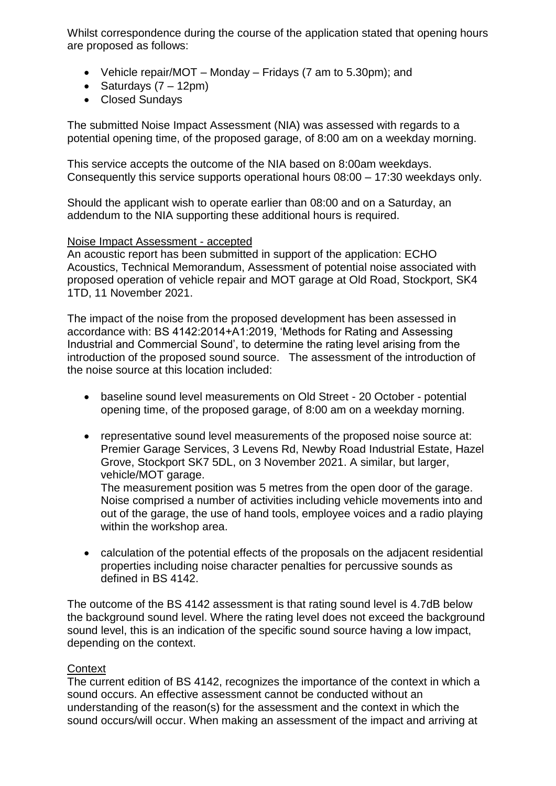Whilst correspondence during the course of the application stated that opening hours are proposed as follows:

- Vehicle repair/MOT Monday Fridays (7 am to 5.30pm); and
- Saturdays  $(7 12pm)$
- Closed Sundays

The submitted Noise Impact Assessment (NIA) was assessed with regards to a potential opening time, of the proposed garage, of 8:00 am on a weekday morning.

This service accepts the outcome of the NIA based on 8:00am weekdays. Consequently this service supports operational hours 08:00 – 17:30 weekdays only.

Should the applicant wish to operate earlier than 08:00 and on a Saturday, an addendum to the NIA supporting these additional hours is required.

### Noise Impact Assessment - accepted

An acoustic report has been submitted in support of the application: ECHO Acoustics, Technical Memorandum, Assessment of potential noise associated with proposed operation of vehicle repair and MOT garage at Old Road, Stockport, SK4 1TD, 11 November 2021.

The impact of the noise from the proposed development has been assessed in accordance with: BS 4142:2014+A1:2019, 'Methods for Rating and Assessing Industrial and Commercial Sound', to determine the rating level arising from the introduction of the proposed sound source. The assessment of the introduction of the noise source at this location included:

- baseline sound level measurements on Old Street 20 October potential opening time, of the proposed garage, of 8:00 am on a weekday morning.
- representative sound level measurements of the proposed noise source at: Premier Garage Services, 3 Levens Rd, Newby Road Industrial Estate, Hazel Grove, Stockport SK7 5DL, on 3 November 2021. A similar, but larger, vehicle/MOT garage.

The measurement position was 5 metres from the open door of the garage. Noise comprised a number of activities including vehicle movements into and out of the garage, the use of hand tools, employee voices and a radio playing within the workshop area.

 calculation of the potential effects of the proposals on the adjacent residential properties including noise character penalties for percussive sounds as defined in BS 4142.

The outcome of the BS 4142 assessment is that rating sound level is 4.7dB below the background sound level. Where the rating level does not exceed the background sound level, this is an indication of the specific sound source having a low impact, depending on the context.

## **Context**

The current edition of BS 4142, recognizes the importance of the context in which a sound occurs. An effective assessment cannot be conducted without an understanding of the reason(s) for the assessment and the context in which the sound occurs/will occur. When making an assessment of the impact and arriving at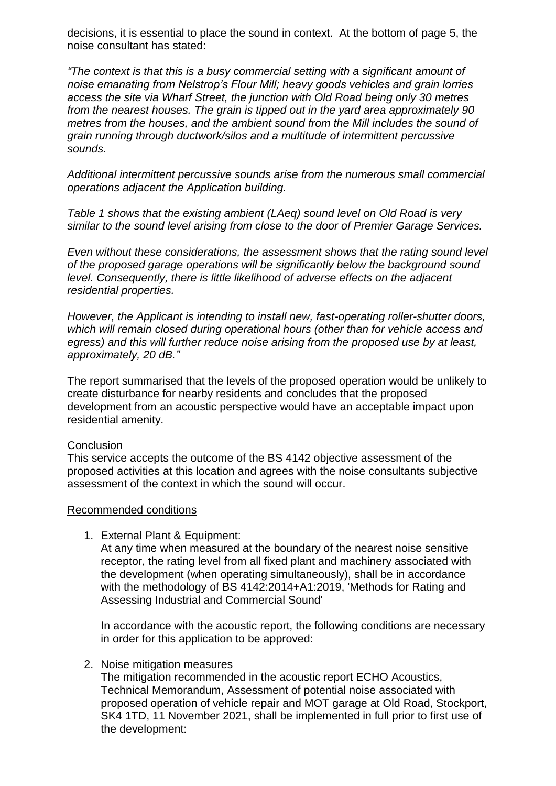decisions, it is essential to place the sound in context. At the bottom of page 5, the noise consultant has stated:

*"The context is that this is a busy commercial setting with a significant amount of noise emanating from Nelstrop's Flour Mill; heavy goods vehicles and grain lorries access the site via Wharf Street, the junction with Old Road being only 30 metres from the nearest houses. The grain is tipped out in the yard area approximately 90 metres from the houses, and the ambient sound from the Mill includes the sound of grain running through ductwork/silos and a multitude of intermittent percussive sounds.*

*Additional intermittent percussive sounds arise from the numerous small commercial operations adjacent the Application building.*

*Table 1 shows that the existing ambient (LAeq) sound level on Old Road is very similar to the sound level arising from close to the door of Premier Garage Services.* 

*Even without these considerations, the assessment shows that the rating sound level of the proposed garage operations will be significantly below the background sound level. Consequently, there is little likelihood of adverse effects on the adjacent residential properties.* 

*However, the Applicant is intending to install new, fast-operating roller-shutter doors, which will remain closed during operational hours (other than for vehicle access and egress) and this will further reduce noise arising from the proposed use by at least, approximately, 20 dB."*

The report summarised that the levels of the proposed operation would be unlikely to create disturbance for nearby residents and concludes that the proposed development from an acoustic perspective would have an acceptable impact upon residential amenity.

#### **Conclusion**

This service accepts the outcome of the BS 4142 objective assessment of the proposed activities at this location and agrees with the noise consultants subjective assessment of the context in which the sound will occur.

#### Recommended conditions

1. External Plant & Equipment:

At any time when measured at the boundary of the nearest noise sensitive receptor, the rating level from all fixed plant and machinery associated with the development (when operating simultaneously), shall be in accordance with the methodology of BS 4142:2014+A1:2019, 'Methods for Rating and Assessing Industrial and Commercial Sound'

In accordance with the acoustic report, the following conditions are necessary in order for this application to be approved:

#### 2. Noise mitigation measures

The mitigation recommended in the acoustic report ECHO Acoustics, Technical Memorandum, Assessment of potential noise associated with proposed operation of vehicle repair and MOT garage at Old Road, Stockport, SK4 1TD, 11 November 2021, shall be implemented in full prior to first use of the development: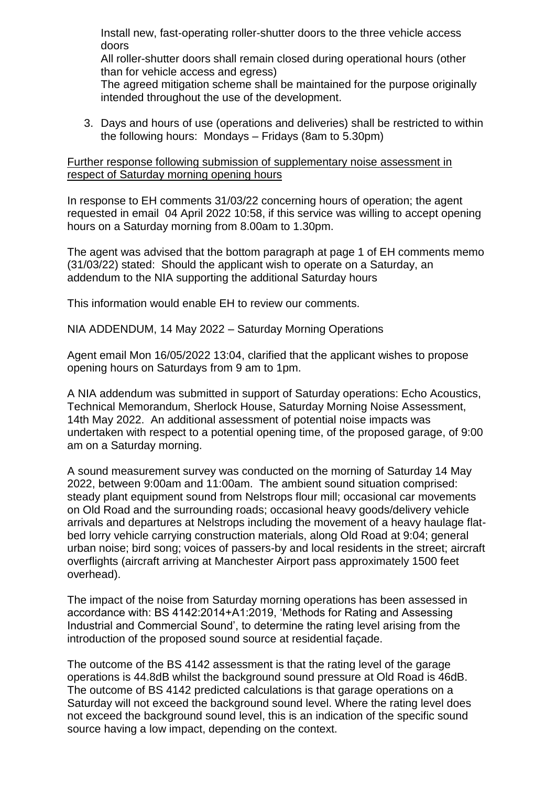Install new, fast-operating roller-shutter doors to the three vehicle access doors

All roller-shutter doors shall remain closed during operational hours (other than for vehicle access and egress)

The agreed mitigation scheme shall be maintained for the purpose originally intended throughout the use of the development.

3. Days and hours of use (operations and deliveries) shall be restricted to within the following hours: Mondays – Fridays (8am to 5.30pm)

Further response following submission of supplementary noise assessment in respect of Saturday morning opening hours

In response to EH comments 31/03/22 concerning hours of operation; the agent requested in email 04 April 2022 10:58, if this service was willing to accept opening hours on a Saturday morning from 8.00am to 1.30pm.

The agent was advised that the bottom paragraph at page 1 of EH comments memo (31/03/22) stated: Should the applicant wish to operate on a Saturday, an addendum to the NIA supporting the additional Saturday hours

This information would enable EH to review our comments.

NIA ADDENDUM, 14 May 2022 – Saturday Morning Operations

Agent email Mon 16/05/2022 13:04, clarified that the applicant wishes to propose opening hours on Saturdays from 9 am to 1pm.

A NIA addendum was submitted in support of Saturday operations: Echo Acoustics, Technical Memorandum, Sherlock House, Saturday Morning Noise Assessment, 14th May 2022. An additional assessment of potential noise impacts was undertaken with respect to a potential opening time, of the proposed garage, of 9:00 am on a Saturday morning.

A sound measurement survey was conducted on the morning of Saturday 14 May 2022, between 9:00am and 11:00am. The ambient sound situation comprised: steady plant equipment sound from Nelstrops flour mill; occasional car movements on Old Road and the surrounding roads; occasional heavy goods/delivery vehicle arrivals and departures at Nelstrops including the movement of a heavy haulage flatbed lorry vehicle carrying construction materials, along Old Road at 9:04; general urban noise; bird song; voices of passers-by and local residents in the street; aircraft overflights (aircraft arriving at Manchester Airport pass approximately 1500 feet overhead).

The impact of the noise from Saturday morning operations has been assessed in accordance with: BS 4142:2014+A1:2019, 'Methods for Rating and Assessing Industrial and Commercial Sound', to determine the rating level arising from the introduction of the proposed sound source at residential façade.

The outcome of the BS 4142 assessment is that the rating level of the garage operations is 44.8dB whilst the background sound pressure at Old Road is 46dB. The outcome of BS 4142 predicted calculations is that garage operations on a Saturday will not exceed the background sound level. Where the rating level does not exceed the background sound level, this is an indication of the specific sound source having a low impact, depending on the context.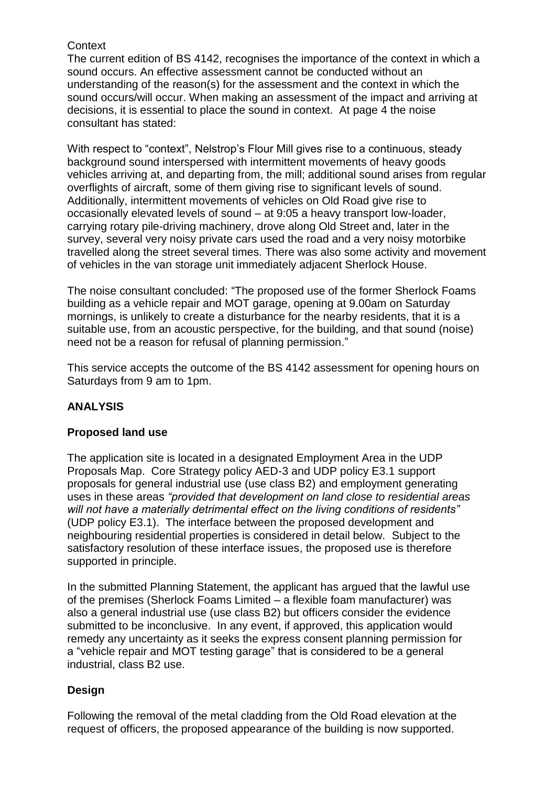### **Context**

The current edition of BS 4142, recognises the importance of the context in which a sound occurs. An effective assessment cannot be conducted without an understanding of the reason(s) for the assessment and the context in which the sound occurs/will occur. When making an assessment of the impact and arriving at decisions, it is essential to place the sound in context. At page 4 the noise consultant has stated:

With respect to "context", Nelstrop's Flour Mill gives rise to a continuous, steady background sound interspersed with intermittent movements of heavy goods vehicles arriving at, and departing from, the mill; additional sound arises from regular overflights of aircraft, some of them giving rise to significant levels of sound. Additionally, intermittent movements of vehicles on Old Road give rise to occasionally elevated levels of sound – at 9:05 a heavy transport low-loader, carrying rotary pile-driving machinery, drove along Old Street and, later in the survey, several very noisy private cars used the road and a very noisy motorbike travelled along the street several times. There was also some activity and movement of vehicles in the van storage unit immediately adjacent Sherlock House.

The noise consultant concluded: "The proposed use of the former Sherlock Foams building as a vehicle repair and MOT garage, opening at 9.00am on Saturday mornings, is unlikely to create a disturbance for the nearby residents, that it is a suitable use, from an acoustic perspective, for the building, and that sound (noise) need not be a reason for refusal of planning permission."

This service accepts the outcome of the BS 4142 assessment for opening hours on Saturdays from 9 am to 1pm.

## **ANALYSIS**

## **Proposed land use**

The application site is located in a designated Employment Area in the UDP Proposals Map. Core Strategy policy AED-3 and UDP policy E3.1 support proposals for general industrial use (use class B2) and employment generating uses in these areas *"provided that development on land close to residential areas will not have a materially detrimental effect on the living conditions of residents"* (UDP policy E3.1). The interface between the proposed development and neighbouring residential properties is considered in detail below. Subject to the satisfactory resolution of these interface issues, the proposed use is therefore supported in principle.

In the submitted Planning Statement, the applicant has argued that the lawful use of the premises (Sherlock Foams Limited – a flexible foam manufacturer) was also a general industrial use (use class B2) but officers consider the evidence submitted to be inconclusive. In any event, if approved, this application would remedy any uncertainty as it seeks the express consent planning permission for a "vehicle repair and MOT testing garage" that is considered to be a general industrial, class B2 use.

## **Design**

Following the removal of the metal cladding from the Old Road elevation at the request of officers, the proposed appearance of the building is now supported.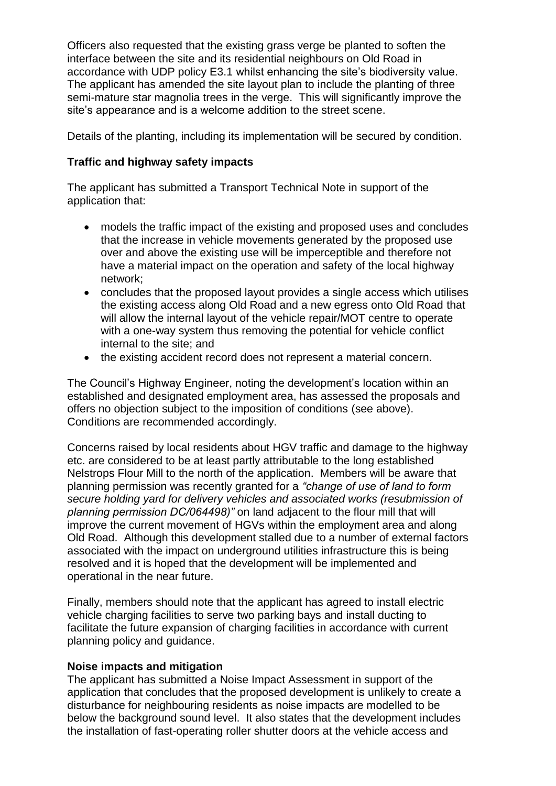Officers also requested that the existing grass verge be planted to soften the interface between the site and its residential neighbours on Old Road in accordance with UDP policy E3.1 whilst enhancing the site's biodiversity value. The applicant has amended the site layout plan to include the planting of three semi-mature star magnolia trees in the verge. This will significantly improve the site's appearance and is a welcome addition to the street scene.

Details of the planting, including its implementation will be secured by condition.

### **Traffic and highway safety impacts**

The applicant has submitted a Transport Technical Note in support of the application that:

- models the traffic impact of the existing and proposed uses and concludes that the increase in vehicle movements generated by the proposed use over and above the existing use will be imperceptible and therefore not have a material impact on the operation and safety of the local highway network;
- concludes that the proposed layout provides a single access which utilises the existing access along Old Road and a new egress onto Old Road that will allow the internal layout of the vehicle repair/MOT centre to operate with a one-way system thus removing the potential for vehicle conflict internal to the site; and
- the existing accident record does not represent a material concern.

The Council's Highway Engineer, noting the development's location within an established and designated employment area, has assessed the proposals and offers no objection subject to the imposition of conditions (see above). Conditions are recommended accordingly.

Concerns raised by local residents about HGV traffic and damage to the highway etc. are considered to be at least partly attributable to the long established Nelstrops Flour Mill to the north of the application. Members will be aware that planning permission was recently granted for a *"change of use of land to form secure holding yard for delivery vehicles and associated works (resubmission of planning permission DC/064498)"* on land adjacent to the flour mill that will improve the current movement of HGVs within the employment area and along Old Road. Although this development stalled due to a number of external factors associated with the impact on underground utilities infrastructure this is being resolved and it is hoped that the development will be implemented and operational in the near future.

Finally, members should note that the applicant has agreed to install electric vehicle charging facilities to serve two parking bays and install ducting to facilitate the future expansion of charging facilities in accordance with current planning policy and guidance.

#### **Noise impacts and mitigation**

The applicant has submitted a Noise Impact Assessment in support of the application that concludes that the proposed development is unlikely to create a disturbance for neighbouring residents as noise impacts are modelled to be below the background sound level. It also states that the development includes the installation of fast-operating roller shutter doors at the vehicle access and